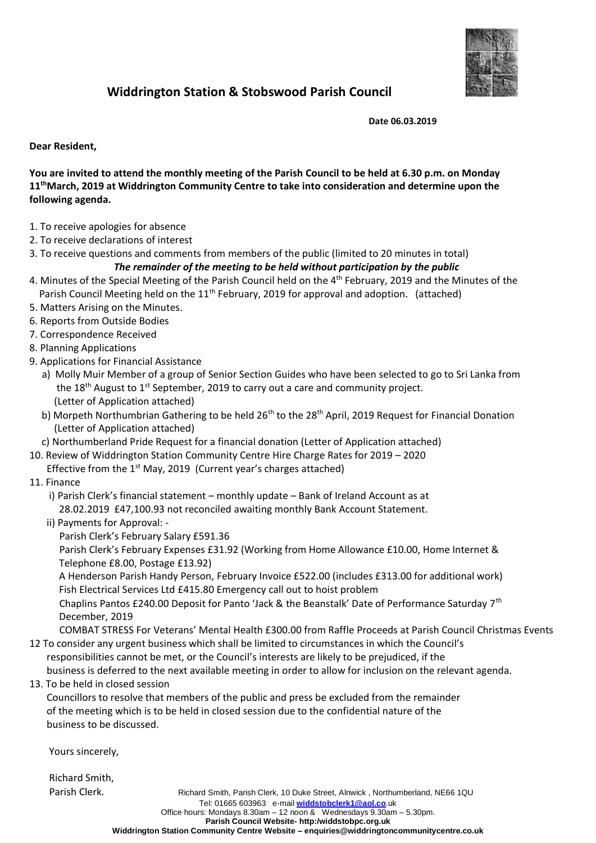

## **Widdrington Station & Stobswood Parish Council**

 **Date 06.03.2019**

**Dear Resident,**

**You are invited to attend the monthly meeting of the Parish Council to be held at 6.30 p.m. on Monday 11thMarch, 2019 at Widdrington Community Centre to take into consideration and determine upon the following agenda.**

- 1. To receive apologies for absence
- 2. To receive declarations of interest
- 3. To receive questions and comments from members of the public (limited to 20 minutes in total)

## *The remainder of the meeting to be held without participation by the public*

- 4. Minutes of the Special Meeting of the Parish Council held on the 4<sup>th</sup> February, 2019 and the Minutes of the Parish Council Meeting held on the  $11<sup>th</sup>$  February, 2019 for approval and adoption. (attached)
- 5. Matters Arising on the Minutes.
- 6. Reports from Outside Bodies
- 7. Correspondence Received
- 8. Planning Applications
- 9. Applications for Financial Assistance
	- a) Molly Muir Member of a group of Senior Section Guides who have been selected to go to Sri Lanka from the  $18<sup>th</sup>$  August to  $1<sup>st</sup>$  September, 2019 to carry out a care and community project. (Letter of Application attached)
	- b) Morpeth Northumbrian Gathering to be held 26<sup>th</sup> to the 28<sup>th</sup> April, 2019 Request for Financial Donation (Letter of Application attached)
	- c) Northumberland Pride Request for a financial donation (Letter of Application attached)
- 10. Review of Widdrington Station Community Centre Hire Charge Rates for 2019 2020 Effective from the  $1<sup>st</sup>$  May, 2019 (Current year's charges attached)
- 11. Finance
	- i) Parish Clerk's financial statement monthly update Bank of Ireland Account as at 28.02.2019 £47,100.93 not reconciled awaiting monthly Bank Account Statement.
	- ii) Payments for Approval:
		- Parish Clerk's February Salary £591.36

 Parish Clerk's February Expenses £31.92 (Working from Home Allowance £10.00, Home Internet & Telephone £8.00, Postage £13.92)

 A Henderson Parish Handy Person, February Invoice £522.00 (includes £313.00 for additional work) Fish Electrical Services Ltd £415.80 Emergency call out to hoist problem

Chaplins Pantos £240.00 Deposit for Panto 'Jack & the Beanstalk' Date of Performance Saturday  $7<sup>th</sup>$ December, 2019

 COMBAT STRESS For Veterans' Mental Health £300.00 from Raffle Proceeds at Parish Council Christmas Events 12 To consider any urgent business which shall be limited to circumstances in which the Council's

- responsibilities cannot be met, or the Council's interests are likely to be prejudiced, if the business is deferred to the next available meeting in order to allow for inclusion on the relevant agenda.
- 13. To be held in closed session

 Councillors to resolve that members of the public and press be excluded from the remainder of the meeting which is to be held in closed session due to the confidential nature of the business to be discussed.

Yours sincerely,

Richard Smith,